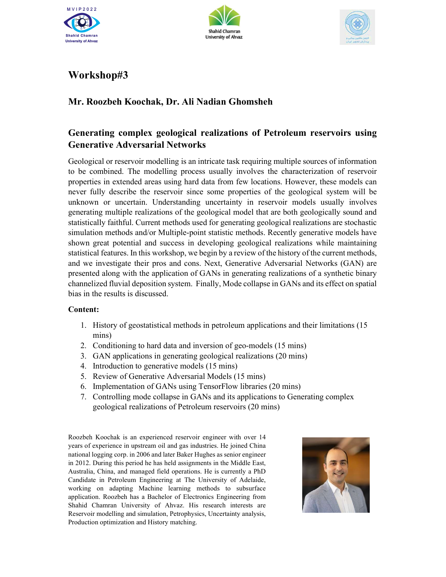





## Workshop#3

## Mr. Roozbeh Koochak, Dr. Ali Nadian Ghomsheh

## Generating complex geological realizations of Petroleum reservoirs using Generative Adversarial Networks

Geological or reservoir modelling is an intricate task requiring multiple sources of information to be combined. The modelling process usually involves the characterization of reservoir properties in extended areas using hard data from few locations. However, these models can never fully describe the reservoir since some properties of the geological system will be unknown or uncertain. Understanding uncertainty in reservoir models usually involves generating multiple realizations of the geological model that are both geologically sound and statistically faithful. Current methods used for generating geological realizations are stochastic simulation methods and/or Multiple-point statistic methods. Recently generative models have shown great potential and success in developing geological realizations while maintaining statistical features. In this workshop, we begin by a review of the history of the current methods, and we investigate their pros and cons. Next, Generative Adversarial Networks (GAN) are presented along with the application of GANs in generating realizations of a synthetic binary channelized fluvial deposition system. Finally, Mode collapse in GANs and its effect on spatial bias in the results is discussed.

## Content:

- 1. History of geostatistical methods in petroleum applications and their limitations (15 mins)
- 2. Conditioning to hard data and inversion of geo-models (15 mins)
- 3. GAN applications in generating geological realizations (20 mins)
- 4. Introduction to generative models (15 mins)
- 5. Review of Generative Adversarial Models (15 mins)
- 6. Implementation of GANs using TensorFlow libraries (20 mins)
- 7. Controlling mode collapse in GANs and its applications to Generating complex geological realizations of Petroleum reservoirs (20 mins)

Roozbeh Koochak is an experienced reservoir engineer with over 14 years of experience in upstream oil and gas industries. He joined China national logging corp. in 2006 and later Baker Hughes as senior engineer in 2012. During this period he has held assignments in the Middle East, Australia, China, and managed field operations. He is currently a PhD Candidate in Petroleum Engineering at The University of Adelaide, working on adapting Machine learning methods to subsurface application. Roozbeh has a Bachelor of Electronics Engineering from Shahid Chamran University of Ahvaz. His research interests are Reservoir modelling and simulation, Petrophysics, Uncertainty analysis, Production optimization and History matching.